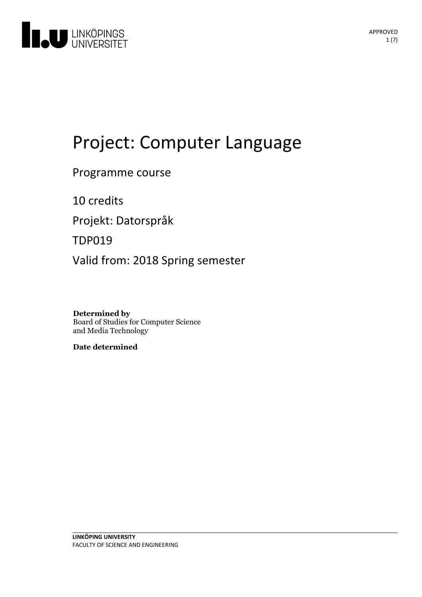

# Project: Computer Language

Programme course

10 credits

Projekt: Datorspråk

TDP019

Valid from: 2018 Spring semester

**Determined by** Board of Studies for Computer Science and Media Technology

**Date determined**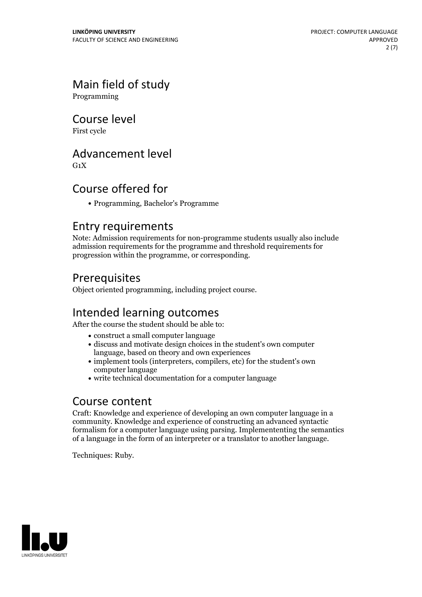## Main field of study

Programming

Course level

First cycle

## Advancement level

 $G_1X$ 

## Course offered for

Programming, Bachelor's Programme

## Entry requirements

Note: Admission requirements for non-programme students usually also include admission requirements for the programme and threshold requirements for progression within the programme, or corresponding.

## Prerequisites

Object oriented programming, including project course.

## Intended learning outcomes

After the course the student should be able to:

- construct a small computer language
- discuss and motivate design choices in the student's own computer language, based on theory and own experiences
- implement tools (interpreters, compilers, etc) for the student's own computer language
- write technical documentation for a computer language

## Course content

Craft: Knowledge and experience of developing an own computer language in a community. Knowledge and experience of constructing an advanced syntactic formalism for a computer language using parsing. Implemententing the semantics of a language in the form of an interpreter or a translator to another language.

Techniques: Ruby.

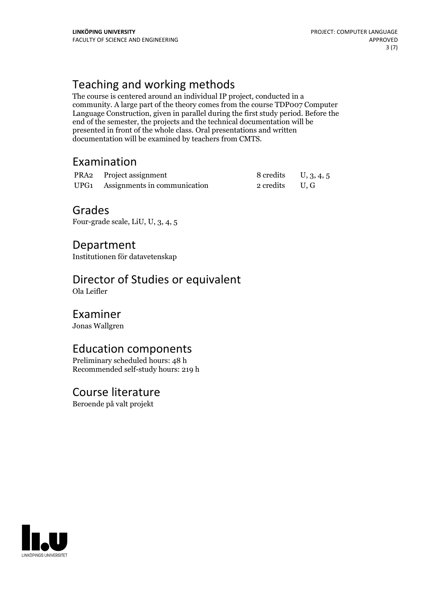## Teaching and working methods

The course is centered around an individual IP project, conducted in a community. A large part of the theory comes from the course TDP007 Computer Language Construction, given in parallel during the first study period. Before the end of the semester, the projects and the technical documentation will be presented in front of the whole class. Oral presentations and written documentation will be examined by teachers from CMTS.

## Examination

| PRA2 Project assignment           | $8 \text{ credits} \qquad U, 3, 4, 5$ |  |
|-----------------------------------|---------------------------------------|--|
| UPG1 Assignments in communication | 2 credits U, G                        |  |

### Grades

Four-grade scale, LiU, U, 3, 4, 5

## Department

Institutionen för datavetenskap

## Director of Studies or equivalent

Ola Leifler

### Examiner

Jonas Wallgren

### Education components

Preliminary scheduled hours: 48 h Recommended self-study hours: 219 h

## Course literature

Beroende på valt projekt

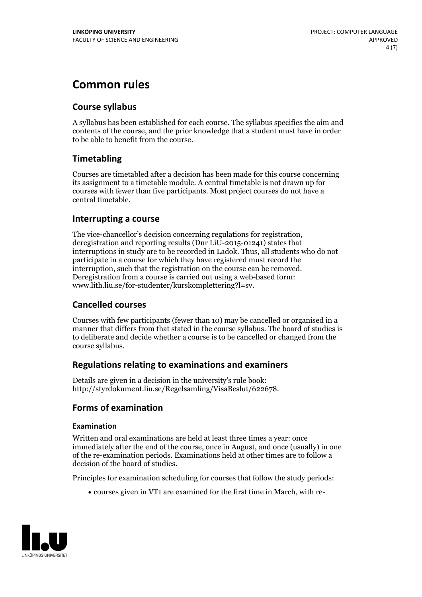## **Common rules**

#### **Course syllabus**

A syllabus has been established for each course. The syllabus specifies the aim and contents of the course, and the prior knowledge that a student must have in order to be able to benefit from the course.

#### **Timetabling**

Courses are timetabled after a decision has been made for this course concerning its assignment to a timetable module. A central timetable is not drawn up for courses with fewer than five participants. Most project courses do not have a central timetable.

#### **Interrupting a course**

The vice-chancellor's decision concerning regulations for registration, deregistration and reporting results (Dnr LiU-2015-01241) states that interruptions in study are to be recorded in Ladok. Thus, all students who do not participate in a course for which they have registered must record the interruption, such that the registration on the course can be removed. Deregistration from <sup>a</sup> course is carried outusing <sup>a</sup> web-based form: www.lith.liu.se/for-studenter/kurskomplettering?l=sv.

#### **Cancelled courses**

Courses with few participants (fewer than 10) may be cancelled or organised in a manner that differs from that stated in the course syllabus. The board of studies is to deliberate and decide whether a course is to be cancelled orchanged from the course syllabus.

#### **Regulations relatingto examinations and examiners**

Details are given in a decision in the university's rule book: http://styrdokument.liu.se/Regelsamling/VisaBeslut/622678.

#### **Forms of examination**

#### **Examination**

Written and oral examinations are held at least three times a year: once immediately after the end of the course, once in August, and once (usually) in one of the re-examination periods. Examinations held at other times are to follow a decision of the board of studies.

Principles for examination scheduling for courses that follow the study periods:

courses given in VT1 are examined for the first time in March, with re-

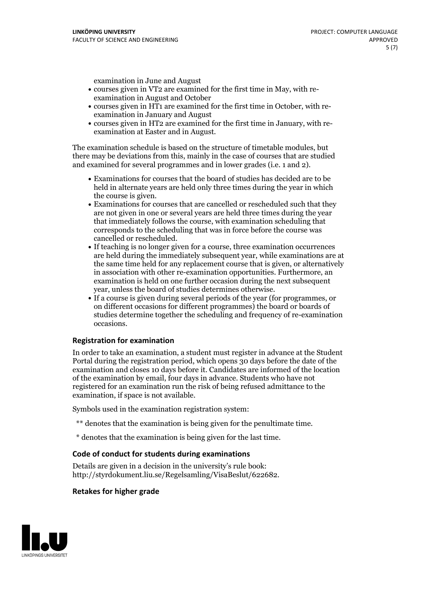examination in June and August

- courses given in VT2 are examined for the first time in May, with re-examination in August and October
- courses given in HT1 are examined for the first time in October, with re-examination in January and August
- courses given in HT2 are examined for the first time in January, with re-examination at Easter and in August.

The examination schedule is based on the structure of timetable modules, but there may be deviations from this, mainly in the case of courses that are studied and examined for several programmes and in lower grades (i.e. 1 and 2).

- Examinations for courses that the board of studies has decided are to be held in alternate years are held only three times during the year in which
- the course is given.<br>• Examinations for courses that are cancelled or rescheduled such that they are not given in one or several years are held three times during the year that immediately follows the course, with examination scheduling that corresponds to the scheduling that was in force before the course was cancelled or rescheduled.<br>• If teaching is no longer given for a course, three examination occurrences
- are held during the immediately subsequent year, while examinations are at the same time held for any replacement course that is given, or alternatively in association with other re-examination opportunities. Furthermore, an examination is held on one further occasion during the next subsequent year, unless the board of studies determines otherwise.<br>• If a course is given during several periods of the year (for programmes, or
- on different occasions for different programmes) the board orboards of studies determine together the scheduling and frequency of re-examination occasions.

#### **Registration for examination**

In order to take an examination, a student must register in advance at the Student Portal during the registration period, which opens 30 days before the date of the examination and closes 10 days before it. Candidates are informed of the location of the examination by email, four days in advance. Students who have not registered for an examination run the risk of being refused admittance to the examination, if space is not available.

Symbols used in the examination registration system:

- \*\* denotes that the examination is being given for the penultimate time.
- \* denotes that the examination is being given for the last time.

#### **Code of conduct for students during examinations**

Details are given in a decision in the university's rule book: http://styrdokument.liu.se/Regelsamling/VisaBeslut/622682.

#### **Retakes for higher grade**

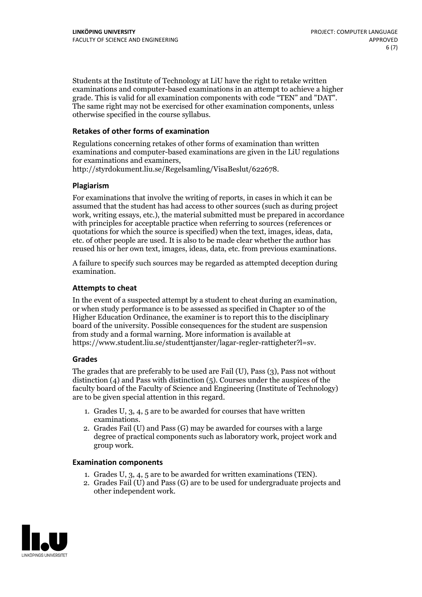Students at the Institute of Technology at LiU have the right to retake written examinations and computer-based examinations in an attempt to achieve a higher grade. This is valid for all examination components with code "TEN" and "DAT". The same right may not be exercised for other examination components, unless otherwise specified in the course syllabus.

#### **Retakes of other forms of examination**

Regulations concerning retakes of other forms of examination than written examinations and computer-based examinations are given in the LiU regulations for examinations and examiners, http://styrdokument.liu.se/Regelsamling/VisaBeslut/622678.

#### **Plagiarism**

For examinations that involve the writing of reports, in cases in which it can be assumed that the student has had access to other sources (such as during project work, writing essays, etc.), the material submitted must be prepared in accordance with principles for acceptable practice when referring to sources (references or quotations for which the source is specified) when the text, images, ideas, data, etc. of other people are used. It is also to be made clear whether the author has reused his or her own text, images, ideas, data, etc. from previous examinations.

A failure to specify such sources may be regarded as attempted deception during examination.

#### **Attempts to cheat**

In the event of <sup>a</sup> suspected attempt by <sup>a</sup> student to cheat during an examination, or when study performance is to be assessed as specified in Chapter <sup>10</sup> of the Higher Education Ordinance, the examiner is to report this to the disciplinary board of the university. Possible consequences for the student are suspension from study and a formal warning. More information is available at https://www.student.liu.se/studenttjanster/lagar-regler-rattigheter?l=sv.

#### **Grades**

The grades that are preferably to be used are Fail (U), Pass (3), Pass not without distinction  $(4)$  and Pass with distinction  $(5)$ . Courses under the auspices of the faculty board of the Faculty of Science and Engineering (Institute of Technology) are to be given special attention in this regard.

- 1. Grades U, 3, 4, 5 are to be awarded for courses that have written
- examinations. 2. Grades Fail (U) and Pass (G) may be awarded for courses with <sup>a</sup> large degree of practical components such as laboratory work, project work and group work.

#### **Examination components**

- 
- 1. Grades U, 3, 4, <sup>5</sup> are to be awarded for written examinations (TEN). 2. Grades Fail (U) and Pass (G) are to be used for undergraduate projects and other independent work.